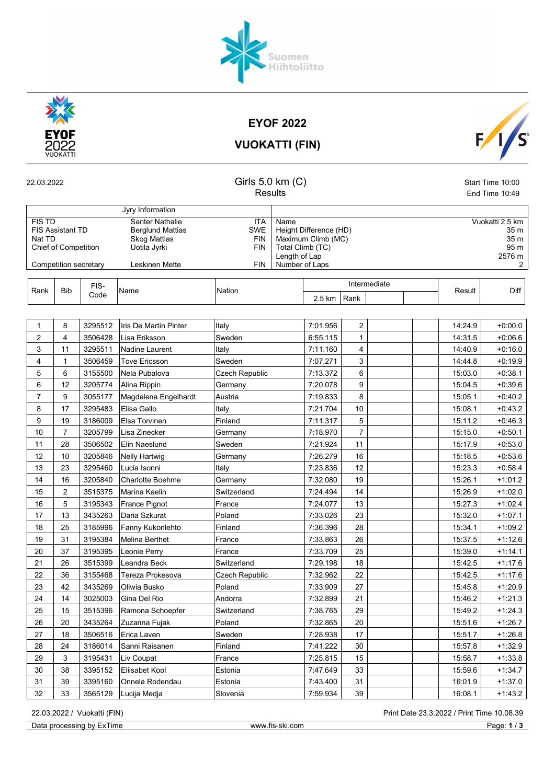



EYOF 2022

VUOKATTI (FIN)



| 22.03.2022     |                             |                       | Girls 5.0 km (C)<br><b>Results</b>  |                                      |                                        |                |              | Start Time 10:00<br>End Time 10:49 |  |  |
|----------------|-----------------------------|-----------------------|-------------------------------------|--------------------------------------|----------------------------------------|----------------|--------------|------------------------------------|--|--|
|                |                             |                       | Jyry Information                    |                                      |                                        |                |              |                                    |  |  |
| <b>FIS TD</b>  |                             |                       | <b>Santer Nathalie</b>              | <b>ITA</b>                           | Name                                   |                |              | Vuokatti 2.5 km                    |  |  |
|                | <b>FIS Assistant TD</b>     |                       | <b>Berglund Mattias</b>             | Height Difference (HD)<br><b>SWE</b> |                                        |                |              | 35 m                               |  |  |
| Nat TD         | <b>Chief of Competition</b> |                       | <b>Skog Mattias</b><br>Uotila Jyrki | <b>FIN</b><br><b>FIN</b>             | Maximum Climb (MC)<br>Total Climb (TC) |                | 35 m<br>95 m |                                    |  |  |
|                |                             |                       |                                     |                                      | Length of Lap                          |                | 2576 m       |                                    |  |  |
|                |                             | Competition secretary | Leskinen Mette                      | <b>FIN</b>                           | Number of Laps                         |                |              | 2                                  |  |  |
| Rank           | <b>Bib</b>                  | FIS-                  |                                     | Nation                               |                                        | Intermediate   | Result       | Diff                               |  |  |
|                |                             | Code                  | Name                                |                                      | 2.5 km                                 | Rank           |              |                                    |  |  |
|                |                             |                       |                                     |                                      |                                        |                |              |                                    |  |  |
| $\mathbf 1$    | 8                           | 3295512               | Iris De Martin Pinter               | Italy                                | 7:01.956                               | $\overline{c}$ | 14:24.9      | $+0:00.0$                          |  |  |
| $\overline{2}$ | 4                           | 3506428               | Lisa Eriksson                       | Sweden                               | 6:55.115                               | 1              | 14:31.5      | $+0.06.6$                          |  |  |
| 3              | 11                          | 3295511               | Nadine Laurent                      | Italv                                | 7:11.160                               | 4              | 14:40.9      | $+0.16.0$                          |  |  |
| $\overline{4}$ | $\mathbf{1}$                | 3506459               | <b>Tove Ericsson</b>                | Sweden                               | 7:07.271                               | 3              | 14:44.8      | $+0.19.9$                          |  |  |
| 5              | 6                           | 3155500               | Nela Pubalova                       | Czech Republic                       | 7:13.372                               | 6              | 15:03.0      | $+0.38.1$                          |  |  |
| 6              | 12                          | 3205774               | Alina Rippin                        | Germany                              | 7:20.078                               | 9              | 15:04.5      | $+0.39.6$                          |  |  |
| $\overline{7}$ | 9                           | 3055177               | Magdalena Engelhardt                | Austria                              | 7:19.833                               | 8              | 15:05.1      | $+0.40.2$                          |  |  |
| 8              | 17                          | 3295483               | Elisa Gallo                         | Italy                                | 7:21.704                               | 10             | 15:08.1      | $+0.43.2$                          |  |  |
| 9              | 19                          | 3186009               | <b>Elsa Torvinen</b>                | Finland                              | 7:11.317                               | 5              | 15:11.2      | $+0.46.3$                          |  |  |
| 10             | $\overline{7}$              | 3205799               | Lisa Zinecker                       | Germany                              | 7:18.970                               | $\overline{7}$ | 15:15.0      | $+0.50.1$                          |  |  |
| 11             | 28                          | 3506502               | Elin Naeslund                       | Sweden                               | 7:21.924                               | 11             | 15:17.9      | $+0.53.0$                          |  |  |
| 12             | 10                          | 3205846               | <b>Nelly Hartwig</b>                | Germany                              | 7:26.279                               | 16             | 15:18.5      | $+0.53.6$                          |  |  |
| 13             | 23                          | 3295460               | Lucia Isonni                        | Italy                                | 7:23.836                               | 12             | 15:23.3      | $+0.58.4$                          |  |  |
| 14             | 16                          | 3205840               | <b>Charlotte Boehme</b>             | Germany                              | 7:32.080                               | 19             | 15:26.1      | $+1:01.2$                          |  |  |
| 15             | $\overline{2}$              | 3515375               | Marina Kaelin                       | Switzerland                          | 7:24.494                               | 14             | 15:26.9      | $+1:02.0$                          |  |  |
| 16             | 5                           | 3195343               | France Pignot                       | France                               | 7:24.077                               | 13             | 15:27.3      | $+1:02.4$                          |  |  |
| 17             | 13                          | 3435263               | Daria Szkurat                       | Poland                               | 7:33.026                               | 23             | 15:32.0      | $+1:07.1$                          |  |  |
| 18             | 25                          | 3185996               | Fanny Kukonlehto                    | Finland                              | 7:36.396                               | 28             | 15:34.1      | $+1:09.2$                          |  |  |
| 19             | 31                          | 3195384               | Melina Berthet                      | France                               | 7:33.863                               | 26             | 15:37.5      | $+1:12.6$                          |  |  |
| 20             | 37                          | 3195395               | Leonie Perry                        | France                               | 7:33.709                               | 25             | 15:39.0      | $+1.14.1$                          |  |  |
| 21             | 26                          | 3515399               | Leandra Beck                        | Switzerland                          | 7:29.198                               | 18             | 15:42.5      | $+1:17.6$                          |  |  |
| 22             | 36                          | 3155468               | Tereza Prokesova                    | Czech Republic                       | 7:32.962                               | 22             | 15:42.5      | $+1:17.6$                          |  |  |
| 23             | 42                          | 3435269               | Oliwia Busko                        | Poland                               | 7:33.909                               | 27             | 15:45.8      | $+1:20.9$                          |  |  |
| 24             | 14                          | 3025003               | Gina Del Rio                        | Andorra                              | 7:32.899                               | 21             | 15:46.2      | $+1:21.3$                          |  |  |
| 25             | 15                          | 3515396               | Ramona Schoepfer                    | Switzerland                          | 7:38.765                               | 29             | 15:49.2      | $+1:24.3$                          |  |  |

Data processing by ExTime www.fis-ski.com Page: 1/3

26 20 3435264 Zuzanna Fujak Poland 7:32.865 20 15:51.6 +1:26.7 27 | 18 | 3506516 |Erica Laven | Sweden | 7:28.938 | 17 | | | 15:51.7 | +1:26.8 28 24 3186014 Sanni Raisanen Finland 7:41.222 30 15:57.8 +1:32.9 29 3 3195431 Liv Coupat France 7:25.815 | 15 | 15:58.7 +1:33.8 30 | 38 | 3395152 |Eliisabet Kool | Estonia | 7:47.649 | 33 | | | 15:59.6 | +1:34.7 31 39 3395160 Onnela Rodendau Estonia 7:43.400 31 16:01.9 +1:37.0 32 33 3565129 Lucija Medja Slovenia 7:59.934 39 16:08.1 +1:43.2

22.03.2022 / Vuokatti (FIN) Print Date 23.3.2022 / Print Time 10.08.39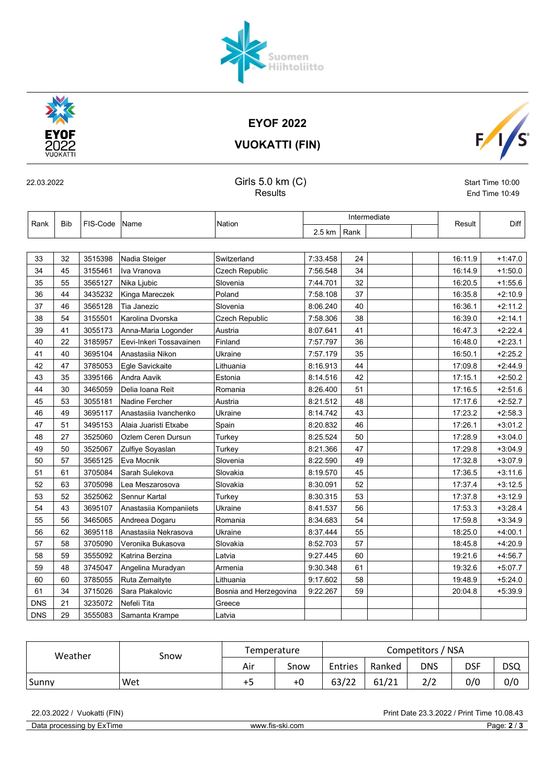EYOF 2022 VUOKATTI (FIN)

Suomen<br>Hiihtoliitto



## 22.03.2022 Girls 5.0 km (C) Start Time 10:00

Results **End Time 10:49** 

| Rank       | <b>Bib</b> | FIS-Code | ∣Name                   | Nation                 | Intermediate |      |  | Result  | Diff      |
|------------|------------|----------|-------------------------|------------------------|--------------|------|--|---------|-----------|
|            |            |          |                         |                        | 2.5 km       | Rank |  |         |           |
|            |            |          |                         |                        |              |      |  |         |           |
| 33         | 32         | 3515398  | Nadia Steiger           | Switzerland            | 7:33.458     | 24   |  | 16:11.9 | $+1.47.0$ |
| 34         | 45         | 3155461  | Iva Vranova             | <b>Czech Republic</b>  | 7:56.548     | 34   |  | 16:14.9 | $+1:50.0$ |
| 35         | 55         | 3565127  | Nika Ljubic             | Slovenia               | 7:44.701     | 32   |  | 16:20.5 | $+1.55.6$ |
| 36         | 44         | 3435232  | Kinga Mareczek          | Poland                 | 7:58.108     | 37   |  | 16:35.8 | $+2:10.9$ |
| 37         | 46         | 3565128  | Tia Janezic             | Slovenia               | 8:06.240     | 40   |  | 16:36.1 | $+2:11.2$ |
| 38         | 54         | 3155501  | Karolina Dvorska        | Czech Republic         | 7:58.306     | 38   |  | 16:39.0 | $+2.14.1$ |
| 39         | 41         | 3055173  | Anna-Maria Logonder     | Austria                | 8:07.641     | 41   |  | 16:47.3 | $+2:22.4$ |
| 40         | 22         | 3185957  | Eevi-Inkeri Tossavainen | Finland                | 7:57.797     | 36   |  | 16:48.0 | $+2:23.1$ |
| 41         | 40         | 3695104  | Anastasiia Nikon        | Ukraine                | 7:57.179     | 35   |  | 16:50.1 | $+2.25.2$ |
| 42         | 47         | 3785053  | Egle Savickaite         | Lithuania              | 8:16.913     | 44   |  | 17:09.8 | $+2.44.9$ |
| 43         | 35         | 3395166  | Andra Aavik             | Estonia                | 8:14.516     | 42   |  | 17:15.1 | $+2:50.2$ |
| 44         | 30         | 3465059  | Delia Ioana Reit        | Romania                | 8:26.400     | 51   |  | 17:16.5 | $+2:51.6$ |
| 45         | 53         | 3055181  | Nadine Fercher          | Austria                | 8:21.512     | 48   |  | 17:17.6 | $+2:52.7$ |
| 46         | 49         | 3695117  | Anastasija Ivanchenko   | Ukraine                | 8:14.742     | 43   |  | 17:23.2 | $+2.58.3$ |
| 47         | 51         | 3495153  | Alaia Juaristi Etxabe   | Spain                  | 8:20.832     | 46   |  | 17:26.1 | $+3:01.2$ |
| 48         | 27         | 3525060  | Ozlem Ceren Dursun      | Turkey                 | 8:25.524     | 50   |  | 17:28.9 | $+3.04.0$ |
| 49         | 50         | 3525067  | Zulfiye Soyaslan        | Turkey                 | 8:21.366     | 47   |  | 17:29.8 | $+3.04.9$ |
| 50         | 57         | 3565125  | Eva Mocnik              | Slovenia               | 8:22.590     | 49   |  | 17:32.8 | $+3.07.9$ |
| 51         | 61         | 3705084  | Sarah Sulekova          | Slovakia               | 8:19.570     | 45   |  | 17:36.5 | $+3.11.6$ |
| 52         | 63         | 3705098  | Lea Meszarosova         | Slovakia               | 8:30.091     | 52   |  | 17:37.4 | $+3.12.5$ |
| 53         | 52         | 3525062  | Sennur Kartal           | Turkey                 | 8:30.315     | 53   |  | 17:37.8 | $+3:12.9$ |
| 54         | 43         | 3695107  | Anastasiia Kompaniiets  | Ukraine                | 8:41.537     | 56   |  | 17:53.3 | $+3:28.4$ |
| 55         | 56         | 3465065  | Andreea Dogaru          | Romania                | 8:34.683     | 54   |  | 17:59.8 | $+3.34.9$ |
| 56         | 62         | 3695118  | Anastasija Nekrasova    | Ukraine                | 8:37.444     | 55   |  | 18:25.0 | $+4:00.1$ |
| 57         | 58         | 3705090  | Veronika Bukasova       | Slovakia               | 8:52.703     | 57   |  | 18:45.8 | $+4:20.9$ |
| 58         | 59         | 3555092  | Katrina Berzina         | Latvia                 | 9:27.445     | 60   |  | 19:21.6 | $+4.56.7$ |
| 59         | 48         | 3745047  | Angelina Muradyan       | Armenia                | 9:30.348     | 61   |  | 19:32.6 | $+5:07.7$ |
| 60         | 60         | 3785055  | Ruta Zemaityte          | Lithuania              | 9:17.602     | 58   |  | 19:48.9 | $+5:24.0$ |
| 61         | 34         | 3715026  | Sara Plakalovic         | Bosnia and Herzegovina | 9:22.267     | 59   |  | 20:04.8 | $+5.39.9$ |
| <b>DNS</b> | 21         | 3235072  | Nefeli Tita             | Greece                 |              |      |  |         |           |
| <b>DNS</b> | 29         | 3555083  | Samanta Krampe          | Latvia                 |              |      |  |         |           |

| Weather | Snow | Temperature |      | Competitors / NSA |        |            |     |     |  |
|---------|------|-------------|------|-------------------|--------|------------|-----|-----|--|
|         |      | Air         | Snow | Entries           | Ranked | <b>DNS</b> | DSF | DSQ |  |
| Sunny   | Wet  | +5          | $+0$ | 63/22             | 61/21  | 2/2        | 0/0 | 0/0 |  |

Data processing by ExTime www.fis-ski.com Page: 2 / 3

22.03.2022 / Vuokatti (FIN) Print Date 23.3.2022 / Print Time 10.08.43